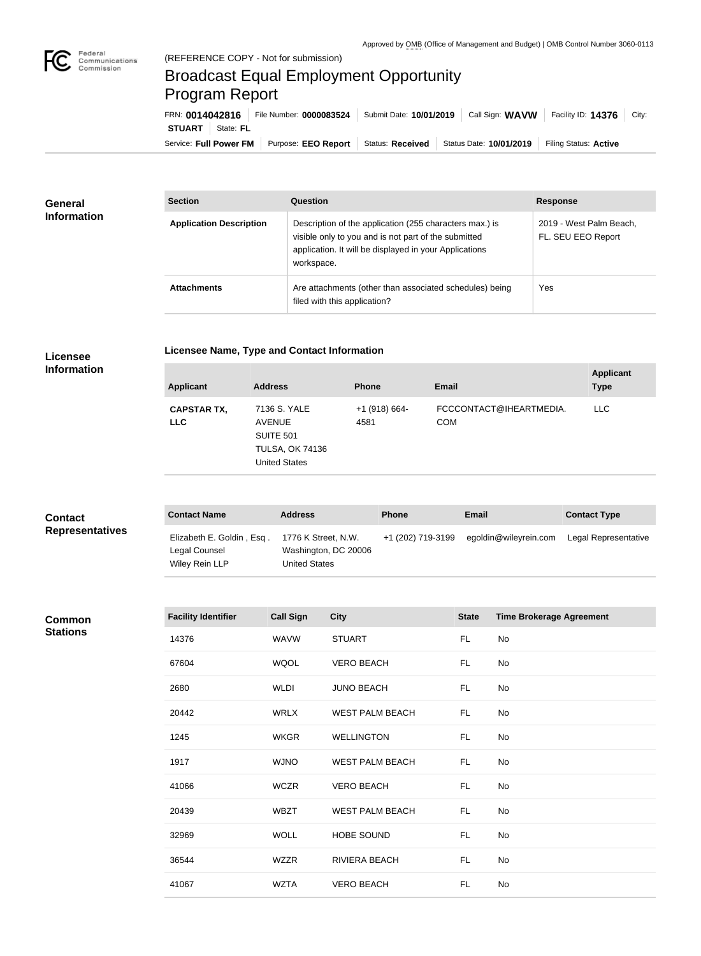

**COL** 

# Broadcast Equal Employment Opportunity Program Report

Service: Full Power FM | Purpose: EEO Report | Status: Received | Status Date: 10/01/2019 | Filing Status: Active **STUART** State: FL FRN: **0014042816** File Number: **0000083524** Submit Date: **10/01/2019** Call Sign: **WAVW** Facility ID: **14376** City:

| <b>General</b><br><b>Information</b> | <b>Section</b>                 | Question                                                                                                                                                                                | <b>Response</b>                               |  |
|--------------------------------------|--------------------------------|-----------------------------------------------------------------------------------------------------------------------------------------------------------------------------------------|-----------------------------------------------|--|
|                                      | <b>Application Description</b> | Description of the application (255 characters max.) is<br>visible only to you and is not part of the submitted<br>application. It will be displayed in your Applications<br>workspace. | 2019 - West Palm Beach,<br>FL. SEU EEO Report |  |
|                                      | <b>Attachments</b>             | Are attachments (other than associated schedules) being<br>filed with this application?                                                                                                 | Yes                                           |  |

## **Licensee**

### **Licensee Name, Type and Contact Information**

**Information**

|                                                                                                                                                                                                                   | <b>Applicant</b><br><b>Type</b> |
|-------------------------------------------------------------------------------------------------------------------------------------------------------------------------------------------------------------------|---------------------------------|
| FCCCONTACT@IHEARTMEDIA.<br>7136 S. YALE<br>LLC.<br><b>CAPSTAR TX,</b><br>+1 (918) 664-<br><b>COM</b><br><b>AVENUE</b><br>4581<br><b>LLC</b><br><b>SUITE 501</b><br><b>TULSA, OK 74136</b><br><b>United States</b> |                                 |

| <b>Contact</b><br><b>Representatives</b> | <b>Contact Name</b>                                          | <b>Address</b>                                                      | <b>Phone</b>      | <b>Email</b>          | <b>Contact Type</b>  |
|------------------------------------------|--------------------------------------------------------------|---------------------------------------------------------------------|-------------------|-----------------------|----------------------|
|                                          | Elizabeth E. Goldin, Esq.<br>Legal Counsel<br>Wiley Rein LLP | 1776 K Street, N.W.<br>Washington, DC 20006<br><b>United States</b> | +1 (202) 719-3199 | egoldin@wileyrein.com | Legal Representative |

### **Common Stations**

| <b>Facility Identifier</b> | <b>Call Sign</b> | <b>City</b>            | <b>State</b> | <b>Time Brokerage Agreement</b> |
|----------------------------|------------------|------------------------|--------------|---------------------------------|
| 14376                      | <b>WAVW</b>      | <b>STUART</b>          | FL.          | No                              |
| 67604                      | <b>WQOL</b>      | <b>VERO BEACH</b>      | FL.          | No                              |
| 2680                       | <b>WLDI</b>      | <b>JUNO BEACH</b>      | FL.          | No                              |
| 20442                      | <b>WRLX</b>      | <b>WEST PALM BEACH</b> | FL.          | No                              |
| 1245                       | <b>WKGR</b>      | <b>WELLINGTON</b>      | FL.          | No                              |
| 1917                       | <b>WJNO</b>      | <b>WEST PALM BEACH</b> | FL.          | No                              |
| 41066                      | <b>WCZR</b>      | <b>VERO BEACH</b>      | FL.          | No                              |
| 20439                      | <b>WBZT</b>      | <b>WEST PALM BEACH</b> | FL.          | No                              |
| 32969                      | <b>WOLL</b>      | HOBE SOUND             | FL           | No                              |
| 36544                      | WZZR             | RIVIERA BEACH          | <b>FL</b>    | No                              |
| 41067                      | <b>WZTA</b>      | <b>VERO BEACH</b>      | FL.          | No                              |